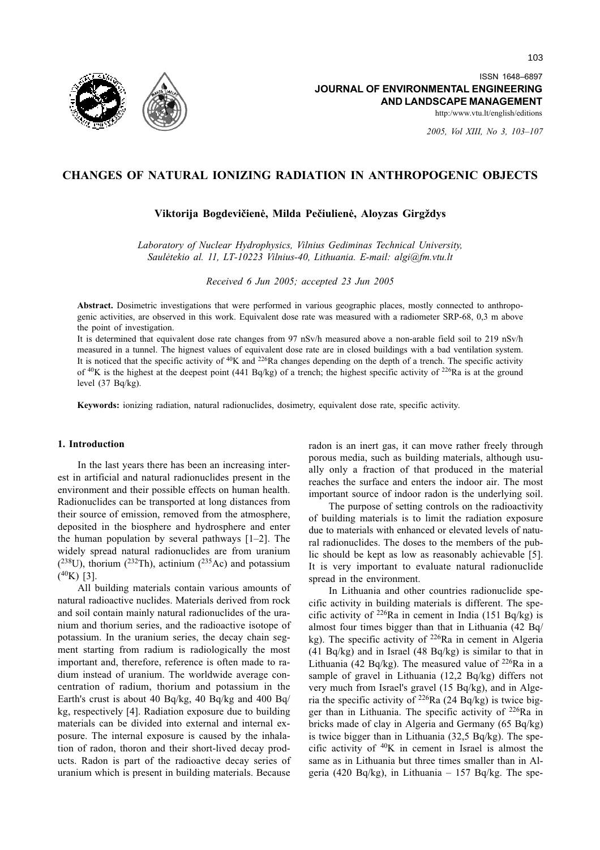

ISSN 1648-6897 JOURNAL OF ENVIRONMENTAL ENGINEERING AND LANDSCAPE MANAGEMENT

http:/www.vtu.lt/english/editions

2005. Vol XIII. No 3. 103-107

# CHANGES OF NATURAL IONIZING RADIATION IN ANTHROPOGENIC OBJECTS

Viktorija Bogdevičienė, Milda Pečiulienė, Aloyzas Girgždys

Laboratory of Nuclear Hydrophysics, Vilnius Gediminas Technical University, Saulėtekio al. 11, LT-10223 Vilnius-40, Lithuania. E-mail: algi@fm.vtu.lt

Received 6 Jun 2005; accepted 23 Jun 2005

Abstract. Dosimetric investigations that were performed in various geographic places, mostly connected to anthropogenic activities, are observed in this work. Equivalent dose rate was measured with a radiometer SRP-68, 0,3 m above the point of investigation.

It is determined that equivalent dose rate changes from 97 nSv/h measured above a non-arable field soil to 219 nSv/h measured in a tunnel. The hignest values of equivalent dose rate are in closed buildings with a bad ventilation system. It is noticed that the specific activity of  ${}^{40}K$  and  ${}^{226}Ra$  changes depending on the depth of a trench. The specific activity of  ${}^{40}K$  is the highest at the deepest point (441 Bq/kg) of a trench; the highest specific activity of <sup>226</sup>Ra is at the ground level  $(37 Bq/kg)$ .

Keywords: ionizing radiation, natural radionuclides, dosimetry, equivalent dose rate, specific activity.

#### 1. Introduction

In the last years there has been an increasing interest in artificial and natural radionuclides present in the environment and their possible effects on human health. Radionuclides can be transported at long distances from their source of emission, removed from the atmosphere, deposited in the biosphere and hydrosphere and enter the human population by several pathways  $[1-2]$ . The widely spread natural radionuclides are from uranium  $(^{238}U)$ , thorium  $(^{232}Th)$ , actinium  $(^{235}Ac)$  and potassium  $(^{40}K)$  [3].

All building materials contain various amounts of natural radioactive nuclides. Materials derived from rock and soil contain mainly natural radionuclides of the uranium and thorium series, and the radioactive isotope of potassium. In the uranium series, the decay chain segment starting from radium is radiologically the most important and, therefore, reference is often made to radium instead of uranium. The worldwide average concentration of radium, thorium and potassium in the Earth's crust is about 40 Bq/kg, 40 Bq/kg and 400 Bq/ kg, respectively [4]. Radiation exposure due to building materials can be divided into external and internal exposure. The internal exposure is caused by the inhalation of radon, thoron and their short-lived decay products. Radon is part of the radioactive decay series of uranium which is present in building materials. Because

radon is an inert gas, it can move rather freely through porous media, such as building materials, although usually only a fraction of that produced in the material reaches the surface and enters the indoor air. The most important source of indoor radon is the underlying soil.

The purpose of setting controls on the radioactivity of building materials is to limit the radiation exposure due to materials with enhanced or elevated levels of natural radionuclides. The doses to the members of the public should be kept as low as reasonably achievable [5]. It is very important to evaluate natural radionuclide spread in the environment.

In Lithuania and other countries radionuclide specific activity in building materials is different. The specific activity of  $^{226}$ Ra in cement in India (151 Bq/kg) is almost four times bigger than that in Lithuania (42 Bq/ kg). The specific activity of <sup>226</sup>Ra in cement in Algeria  $(41 Bq/kg)$  and in Israel  $(48 Bq/kg)$  is similar to that in Lithuania (42 Bq/kg). The measured value of  $^{226}$ Ra in a sample of gravel in Lithuania (12,2 Bq/kg) differs not very much from Israel's gravel (15 Bq/kg), and in Algeria the specific activity of  $^{226}$ Ra (24 Bq/kg) is twice bigger than in Lithuania. The specific activity of <sup>226</sup>Ra in bricks made of clay in Algeria and Germany (65 Bq/kg) is twice bigger than in Lithuania  $(32.5 \text{ Bg/kg})$ . The specific activity of  ${}^{40}K$  in cement in Israel is almost the same as in Lithuania but three times smaller than in Algeria (420 Bq/kg), in Lithuania  $- 157$  Bq/kg. The spe-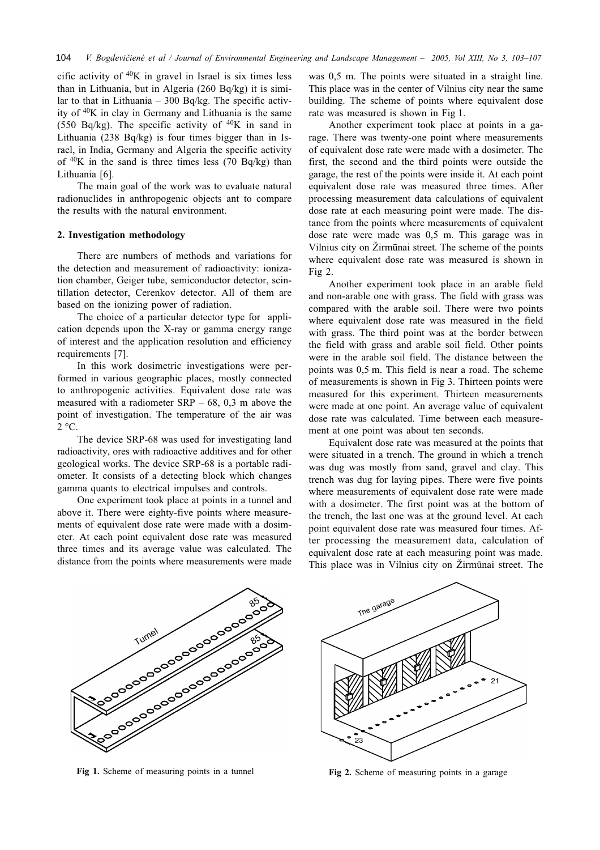cific activity of  ${}^{40}K$  in gravel in Israel is six times less than in Lithuania, but in Algeria  $(260 Bq/kg)$  it is similar to that in Lithuania - 300 Bq/kg. The specific activity of <sup>40</sup>K in clay in Germany and Lithuania is the same (550 Bq/kg). The specific activity of  ${}^{40}$ K in sand in Lithuania (238 Bq/kg) is four times bigger than in Israel, in India, Germany and Algeria the specific activity of  $40K$  in the sand is three times less (70 Bq/kg) than Lithuania [6].

The main goal of the work was to evaluate natural radionuclides in anthropogenic objects ant to compare the results with the natural environment.

### 2. Investigation methodology

There are numbers of methods and variations for the detection and measurement of radioactivity: ionization chamber, Geiger tube, semiconductor detector, scintillation detector, Cerenkov detector. All of them are based on the ionizing power of radiation.

The choice of a particular detector type for application depends upon the X-ray or gamma energy range of interest and the application resolution and efficiency requirements [7].

In this work dosimetric investigations were performed in various geographic places, mostly connected to anthropogenic activities. Equivalent dose rate was measured with a radiometer  $SRP - 68$ , 0,3 m above the point of investigation. The temperature of the air was  $2^{\circ}C$ .

The device SRP-68 was used for investigating land radioactivity, ores with radioactive additives and for other geological works. The device SRP-68 is a portable radiometer. It consists of a detecting block which changes gamma quants to electrical impulses and controls.

One experiment took place at points in a tunnel and above it. There were eighty-five points where measurements of equivalent dose rate were made with a dosimeter. At each point equivalent dose rate was measured three times and its average value was calculated. The distance from the points where measurements were made was 0.5 m. The points were situated in a straight line. This place was in the center of Vilnius city near the same building. The scheme of points where equivalent dose rate was measured is shown in Fig 1.

Another experiment took place at points in a garage. There was twenty-one point where measurements of equivalent dose rate were made with a dosimeter. The first, the second and the third points were outside the garage, the rest of the points were inside it. At each point equivalent dose rate was measured three times. After processing measurement data calculations of equivalent dose rate at each measuring point were made. The distance from the points where measurements of equivalent dose rate were made was 0,5 m. This garage was in Vilnius city on Žirmūnai street. The scheme of the points where equivalent dose rate was measured is shown in Fig  $2$ .

Another experiment took place in an arable field and non-arable one with grass. The field with grass was compared with the arable soil. There were two points where equivalent dose rate was measured in the field with grass. The third point was at the border between the field with grass and arable soil field. Other points were in the arable soil field. The distance between the points was 0,5 m. This field is near a road. The scheme of measurements is shown in Fig 3. Thirteen points were measured for this experiment. Thirteen measurements were made at one point. An average value of equivalent dose rate was calculated. Time between each measurement at one point was about ten seconds.

Equivalent dose rate was measured at the points that were situated in a trench. The ground in which a trench was dug was mostly from sand, gravel and clay. This trench was dug for laying pipes. There were five points where measurements of equivalent dose rate were made with a dosimeter. The first point was at the bottom of the trench, the last one was at the ground level. At each point equivalent dose rate was measured four times. After processing the measurement data, calculation of equivalent dose rate at each measuring point was made. This place was in Vilnius city on Žirmūnai street. The



Fig 1. Scheme of measuring points in a tunnel



Fig 2. Scheme of measuring points in a garage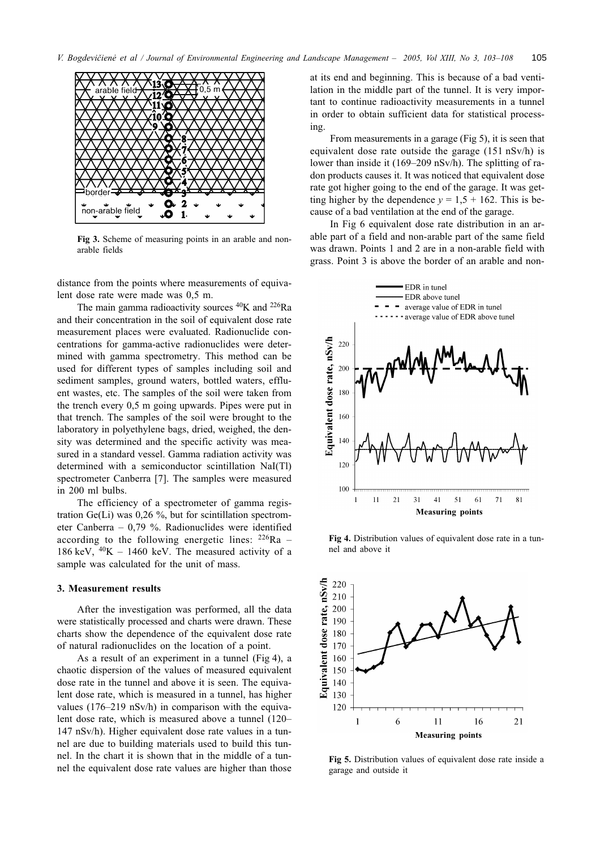

Fig 3. Scheme of measuring points in an arable and nonarable fields

distance from the points where measurements of equivalent dose rate were made was 0.5 m.

The main gamma radioactivity sources  ${}^{40}$ K and  ${}^{226}$ Ra and their concentration in the soil of equivalent dose rate measurement places were evaluated. Radionuclide concentrations for gamma-active radionuclides were determined with gamma spectrometry. This method can be used for different types of samples including soil and sediment samples, ground waters, bottled waters, effluent wastes, etc. The samples of the soil were taken from the trench every 0.5 m going upwards. Pipes were put in that trench. The samples of the soil were brought to the laboratory in polyethylene bags, dried, weighed, the density was determined and the specific activity was measured in a standard vessel. Gamma radiation activity was determined with a semiconductor scintillation NaI(Tl) spectrometer Canberra [7]. The samples were measured in 200 ml bulbs.

The efficiency of a spectrometer of gamma registration Ge(Li) was  $0.26\%$ , but for scintillation spectrometer Canberra - 0,79 %. Radionuclides were identified according to the following energetic lines:  $^{226}Ra$  – 186 keV,  $^{40}$ K - 1460 keV. The measured activity of a sample was calculated for the unit of mass.

### 3. Measurement results

After the investigation was performed, all the data were statistically processed and charts were drawn. These charts show the dependence of the equivalent dose rate of natural radionuclides on the location of a point.

As a result of an experiment in a tunnel (Fig 4), a chaotic dispersion of the values of measured equivalent dose rate in the tunnel and above it is seen. The equivalent dose rate, which is measured in a tunnel, has higher values  $(176-219 \text{ nSv/h})$  in comparison with the equivalent dose rate, which is measured above a tunnel (120– 147 nSv/h). Higher equivalent dose rate values in a tunnel are due to building materials used to build this tunnel. In the chart it is shown that in the middle of a tunnel the equivalent dose rate values are higher than those at its end and beginning. This is because of a bad ventilation in the middle part of the tunnel. It is very important to continue radioactivity measurements in a tunnel in order to obtain sufficient data for statistical processing.

From measurements in a garage (Fig 5), it is seen that equivalent dose rate outside the garage  $(151 nSv/h)$  is lower than inside it (169–209 nSv/h). The splitting of radon products causes it. It was noticed that equivalent dose rate got higher going to the end of the garage. It was getting higher by the dependence  $y = 1.5 + 162$ . This is because of a bad ventilation at the end of the garage.

In Fig 6 equivalent dose rate distribution in an arable part of a field and non-arable part of the same field was drawn. Points 1 and 2 are in a non-arable field with grass. Point 3 is above the border of an arable and non-



Fig 4. Distribution values of equivalent dose rate in a tunnel and above it



Fig 5. Distribution values of equivalent dose rate inside a garage and outside it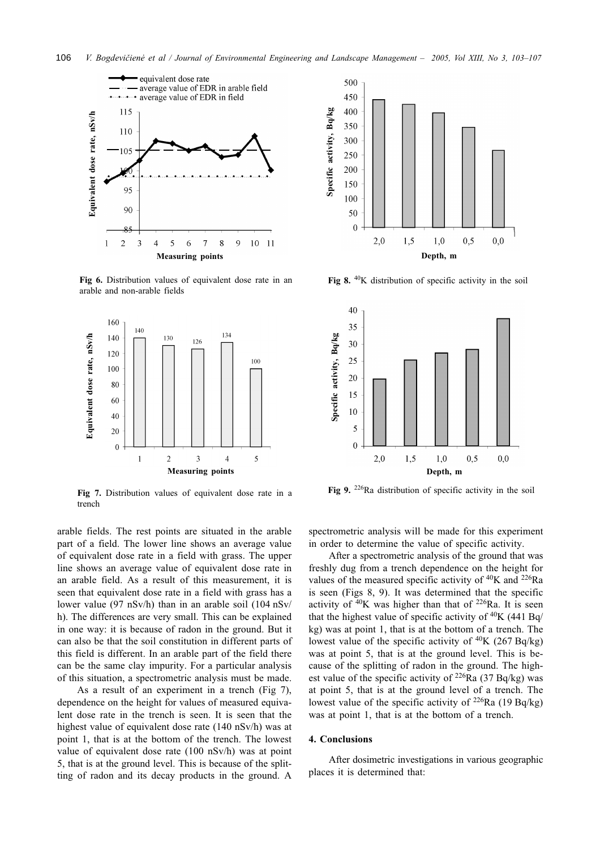

Fig 6. Distribution values of equivalent dose rate in an arable and non-arable fields



Fig 7. Distribution values of equivalent dose rate in a trench

arable fields. The rest points are situated in the arable part of a field. The lower line shows an average value of equivalent dose rate in a field with grass. The upper line shows an average value of equivalent dose rate in an arable field. As a result of this measurement, it is seen that equivalent dose rate in a field with grass has a lower value (97 nSv/h) than in an arable soil (104 nSv/ h). The differences are very small. This can be explained in one way: it is because of radon in the ground. But it can also be that the soil constitution in different parts of this field is different. In an arable part of the field there can be the same clay impurity. For a particular analysis of this situation, a spectrometric analysis must be made.

As a result of an experiment in a trench (Fig 7), dependence on the height for values of measured equivalent dose rate in the trench is seen. It is seen that the highest value of equivalent dose rate (140 nSv/h) was at point 1, that is at the bottom of the trench. The lowest value of equivalent dose rate (100 nSv/h) was at point 5, that is at the ground level. This is because of the splitting of radon and its decay products in the ground. A



Fig 8.  $40K$  distribution of specific activity in the soil



Fig 9.  $226$ Ra distribution of specific activity in the soil

spectrometric analysis will be made for this experiment in order to determine the value of specific activity.

After a spectrometric analysis of the ground that was freshly dug from a trench dependence on the height for values of the measured specific activity of  ${}^{40}$ K and  ${}^{226}$ Ra is seen (Figs 8, 9). It was determined that the specific activity of  $40K$  was higher than that of  $226Ra$ . It is seen that the highest value of specific activity of <sup>40</sup>K (441 Bq/ kg) was at point 1, that is at the bottom of a trench. The lowest value of the specific activity of  $40K$  (267 Bq/kg) was at point 5, that is at the ground level. This is because of the splitting of radon in the ground. The highest value of the specific activity of  $^{226}$ Ra (37 Bq/kg) was at point 5, that is at the ground level of a trench. The lowest value of the specific activity of  $^{226}$ Ra (19 Bq/kg) was at point 1, that is at the bottom of a trench.

#### 4. Conclusions

After dosimetric investigations in various geographic places it is determined that: